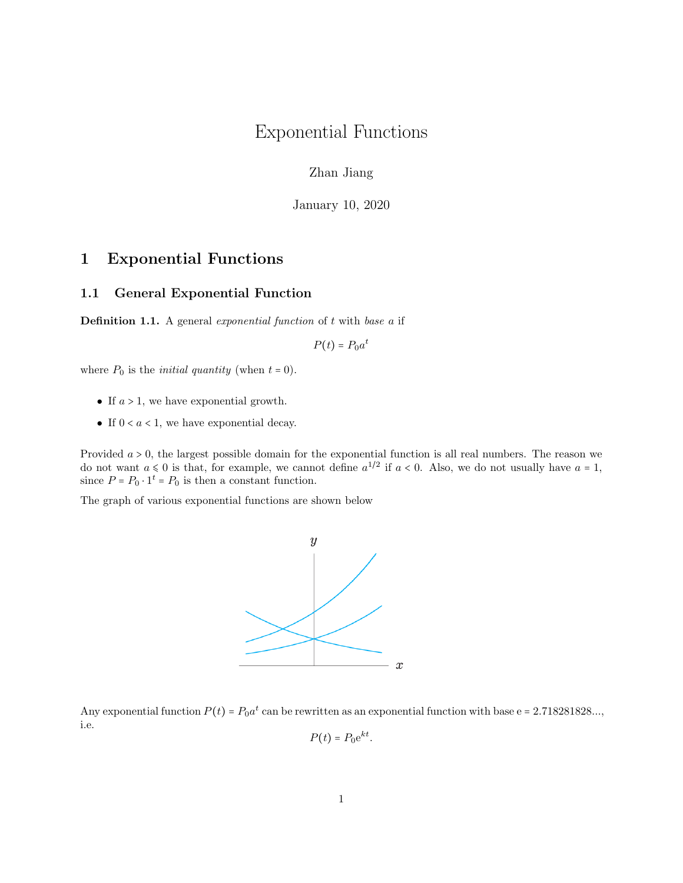# Exponential Functions

Zhan Jiang

January 10, 2020

# 1 Exponential Functions

#### 1.1 General Exponential Function

**Definition 1.1.** A general exponential function of  $t$  with base  $a$  if

$$
P(t) = P_0 a^t
$$

where  $P_0$  is the *initial quantity* (when  $t = 0$ ).

- If  $a > 1$ , we have exponential growth.
- If  $0 < a < 1$ , we have exponential decay.

Provided  $a > 0$ , the largest possible domain for the exponential function is all real numbers. The reason we do not want  $a \leq 0$  is that, for example, we cannot define  $a^{1/2}$  if  $a < 0$ . Also, we do not usually have  $a = 1$ , since  $P = P_0 \cdot 1^t = P_0$  is then a constant function.

The graph of various exponential functions are shown below



Any exponential function  $P(t) = P_0 a^t$  can be rewritten as an exponential function with base e = 2.718281828..., i.e.

$$
P(t) = P_0 e^{kt}.
$$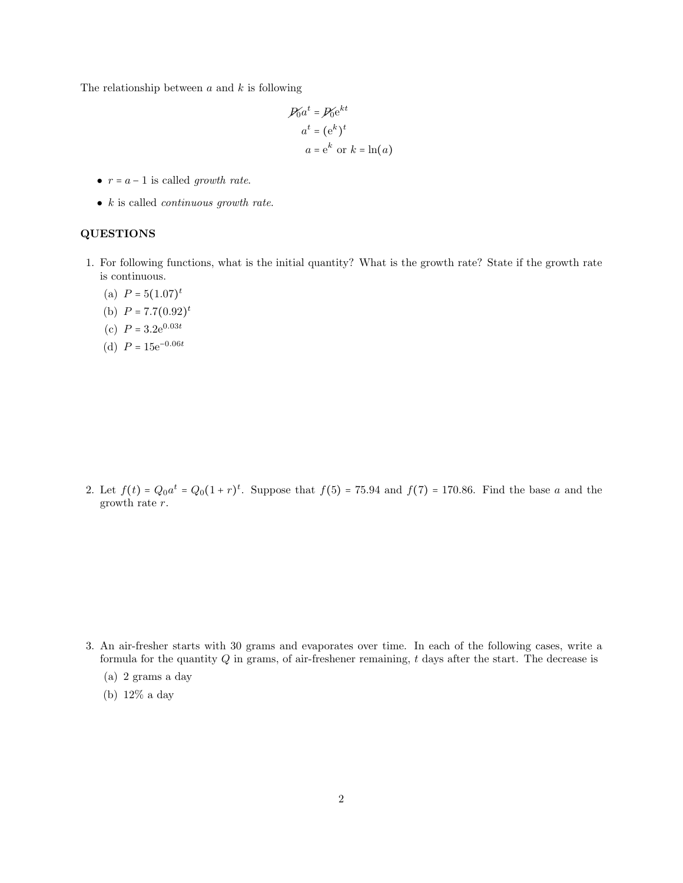The relationship between  $a$  and  $k$  is following

$$
\mathcal{P}_0 a^t = \mathcal{P}_0 e^{kt}
$$

$$
a^t = (e^k)^t
$$

$$
a = e^k \text{ or } k = \ln(a)
$$

- $r = a 1$  is called growth rate.
- $k$  is called *continuous growth rate.*

#### QUESTIONS

- 1. For following functions, what is the initial quantity? What is the growth rate? State if the growth rate is continuous.
	- (a)  $P = 5(1.07)^t$
	- (b)  $P = 7.7(0.92)^t$
	- (c)  $P = 3.2e^{0.03t}$
	- (d)  $P = 15e^{-0.06t}$

2. Let  $f(t) = Q_0 a^t = Q_0 (1 + r)^t$ . Suppose that  $f(5) = 75.94$  and  $f(7) = 170.86$ . Find the base a and the growth rate r.

- 3. An air-fresher starts with 30 grams and evaporates over time. In each of the following cases, write a formula for the quantity  $Q$  in grams, of air-freshener remaining, t days after the start. The decrease is
	- (a) 2 grams a day
	- (b) 12% a day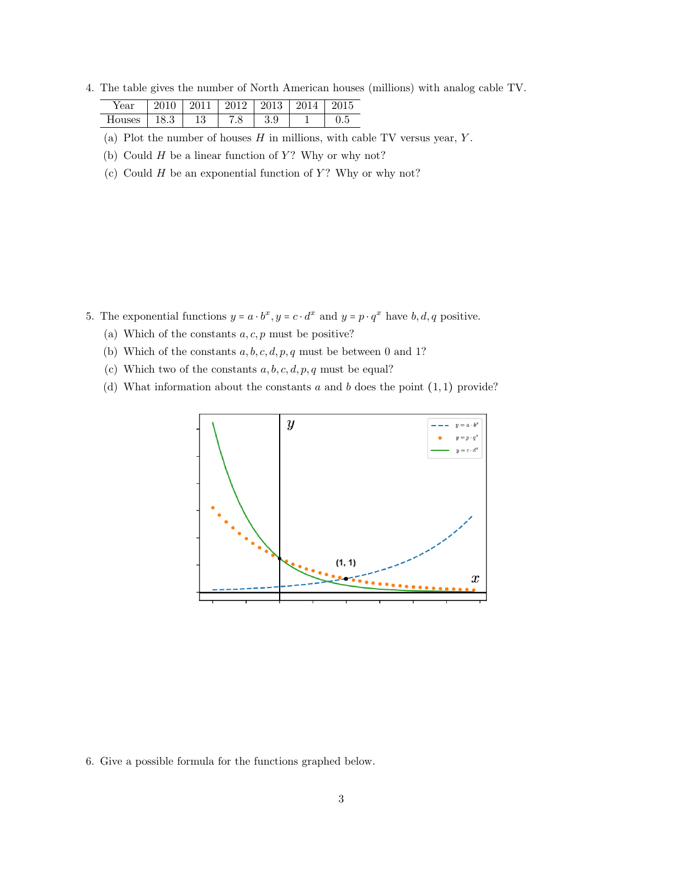4. The table gives the number of North American houses (millions) with analog cable TV.

| Year   |           | 001<br>-4  | റവ പ | 2013<br>J13     |     |
|--------|-----------|------------|------|-----------------|-----|
| Houses | ച<br>10.9 | 1 ດ<br>19. | 8.   | $\Omega$<br>J.Y | ∪.⊍ |

(a) Plot the number of houses  $H$  in millions, with cable TV versus year, Y.

(b) Could  $H$  be a linear function of  $Y$ ? Why or why not?

(c) Could  $H$  be an exponential function of  $Y$ ? Why or why not?

- 5. The exponential functions  $y = a \cdot b^x$ ,  $y = c \cdot d^x$  and  $y = p \cdot q^x$  have  $b, d, q$  positive.
	- (a) Which of the constants  $a, c, p$  must be positive?
	- (b) Which of the constants  $a, b, c, d, p, q$  must be between 0 and 1?
	- (c) Which two of the constants  $a, b, c, d, p, q$  must be equal?
	- (d) What information about the constants  $a$  and  $b$  does the point  $(1, 1)$  provide?



6. Give a possible formula for the functions graphed below.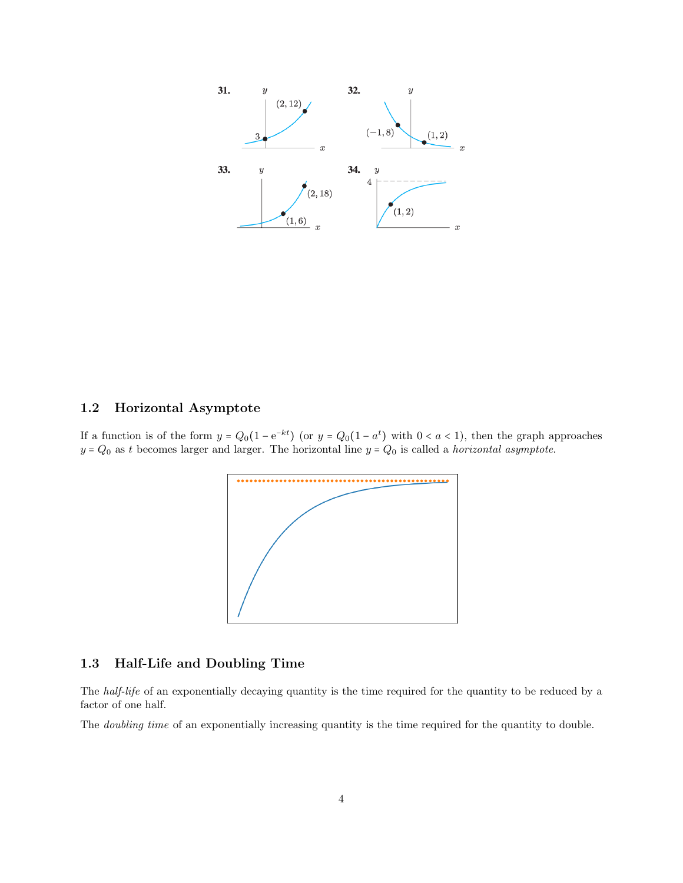

### 1.2 Horizontal Asymptote

If a function is of the form  $y = Q_0(1 - e^{-kt})$  (or  $y = Q_0(1 - a^t)$  with  $0 < a < 1$ ), then the graph approaches  $y = Q_0$  as t becomes larger and larger. The horizontal line  $y = Q_0$  is called a *horizontal asymptote*.



## 1.3 Half-Life and Doubling Time

The half-life of an exponentially decaying quantity is the time required for the quantity to be reduced by a factor of one half.

The *doubling time* of an exponentially increasing quantity is the time required for the quantity to double.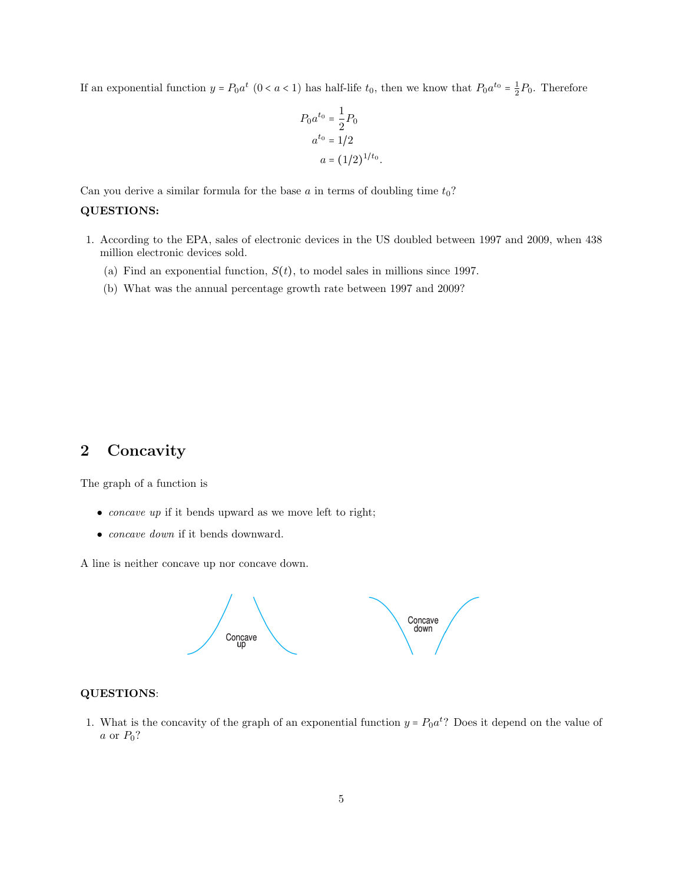If an exponential function  $y = P_0 a^t$   $(0 < a < 1)$  has half-life  $t_0$ , then we know that  $P_0 a^{t_0} = \frac{1}{2} P_0$ . Therefore

$$
P_0 a^{t_0} = \frac{1}{2} P_0
$$
  
\n
$$
a^{t_0} = 1/2
$$
  
\n
$$
a = (1/2)^{1/t_0}.
$$

Can you derive a similar formula for the base a in terms of doubling time  $t_0$ ?

#### QUESTIONS:

- 1. According to the EPA, sales of electronic devices in the US doubled between 1997 and 2009, when 438 million electronic devices sold.
	- (a) Find an exponential function,  $S(t)$ , to model sales in millions since 1997.
	- (b) What was the annual percentage growth rate between 1997 and 2009?

# 2 Concavity

The graph of a function is

- *concave up* if it bends upward as we move left to right;
- concave down if it bends downward.

A line is neither concave up nor concave down.



#### QUESTIONS:

1. What is the concavity of the graph of an exponential function  $y = P_0 a^t$ ? Does it depend on the value of  $a$  or  $P_0$ ?